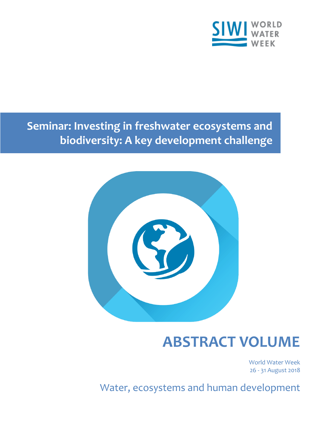

**Seminar: Investing in freshwater ecosystems and biodiversity: A key development challenge**



# **ABSTRACT VOLUME**

World Water Week 26 - 31 August 2018

Water, ecosystems and human development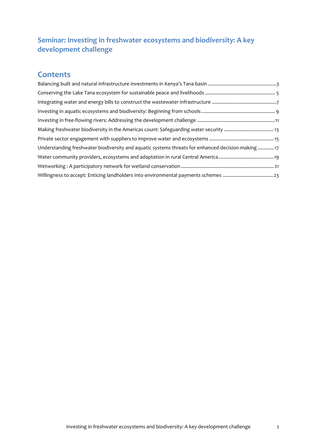# **Seminar: Investing in freshwater ecosystems and biodiversity: A key development challenge**

# **Contents**

| Making freshwater biodiversity in the Americas count: Safeguarding water security  13              |
|----------------------------------------------------------------------------------------------------|
|                                                                                                    |
| Understanding freshwater biodiversity and aquatic systems threats for enhanced decision-making  17 |
|                                                                                                    |
|                                                                                                    |
|                                                                                                    |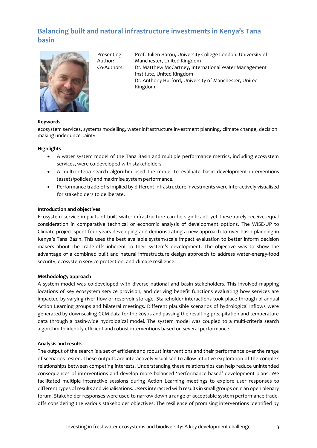# <span id="page-2-0"></span>**Balancing built and natural infrastructure investments in Kenya's Tana basin**



Presenting Author:

Prof. Julien Harou, University College London, University of Manchester, United Kingdom Co-Authors: Dr. Matthew McCartney, International Water Management Institute, United Kingdom Dr. Anthony Hurford, University of Manchester, United Kingdom

# **Keywords**

ecosystem services, systems modelling, water infrastructure investment planning, climate change, decision making under uncertainty

# **Highlights**

- A water system model of the Tana Basin and multiple performance metrics, including ecosystem services, were co-developed with stakeholders
- A multi-criteria search algorithm used the model to evaluate basin development interventions (assets/policies) and maximise system performance.
- Performance trade-offs implied by different infrastructure investments were interactively visualised for stakeholders to deliberate.

# **Introduction and objectives**

Ecosystem service impacts of built water infrastructure can be significant, yet these rarely receive equal consideration in comparative technical or economic analysis of development options. The WISE-UP to Climate project spent four years developing and demonstrating a new approach to river basin planning in Kenya's Tana Basin. This uses the best available system-scale impact evaluation to better inform decision makers about the trade-offs inherent to their system's development. The objective was to show the advantage of a combined built and natural infrastructure design approach to address water-energy-food security, ecosystem service protection, and climate resilience.

#### **Methodology approach**

A system model was co-developed with diverse national and basin stakeholders. This involved mapping locations of key ecosystem service provision, and deriving benefit functions evaluating how services are impacted by varying river flow or reservoir storage. Stakeholder interactions took place through bi-annual Action Learning groups and bilateral meetings. Different plausible scenarios of hydrological inflows were generated by downscaling GCM data for the 2050s and passing the resulting precipitation and temperature data through a basin-wide hydrological model. The system model was coupled to a multi-criteria search algorithm to identify efficient and robust interventions based on several performance.

#### **Analysis and results**

The output of the search is a set of efficient and robust interventions and their performance over the range of scenarios tested. These outputs are interactively visualised to allow intuitive exploration of the complex relationships between competing interests. Understanding these relationships can help reduce unintended consequences of interventions and develop more balanced 'performance-based' development plans. We facilitated multiple interactive sessions during Action Learning meetings to explore user responses to different types of results and visualisations. Users interacted with results in small groups or in an open plenary forum. Stakeholder responses were used to narrow down a range of acceptable system performance tradeoffs considering the various stakeholder objectives. The resilience of promising interventions identified by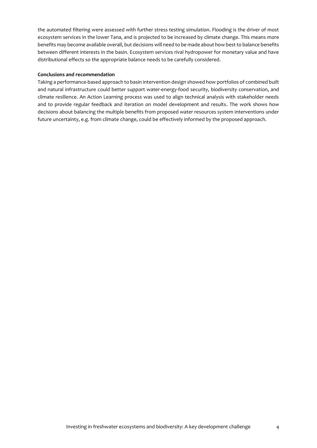the automated filtering were assessed with further stress testing simulation. Flooding is the driver of most ecosystem services in the lower Tana, and is projected to be increased by climate change. This means more benefits may become available overall, but decisions will need to be made about how best to balance benefits between different interests in the basin. Ecosystem services rival hydropower for monetary value and have distributional effects so the appropriate balance needs to be carefully considered.

# **Conclusions and recommendation**

Taking a performance-based approach to basin intervention design showed how portfolios of combined built and natural infrastructure could better support water-energy-food security, biodiversity conservation, and climate resilience. An Action Learning process was used to align technical analysis with stakeholder needs and to provide regular feedback and iteration on model development and results. The work shows how decisions about balancing the multiple benefits from proposed water resources system interventions under future uncertainty, e.g. from climate change, could be effectively informed by the proposed approach.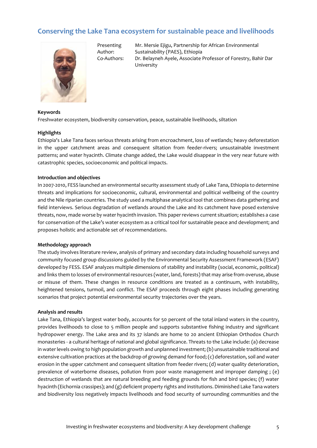# <span id="page-4-0"></span>**Conserving the Lake Tana ecosystem for sustainable peace and livelihoods**



Presenting Author:

Mr. Mersie Ejigu, Partnership for African Environmental Sustainability (PAES), Ethiopia Co-Authors: Dr. Belayneh Ayele, Associate Professor of Forestry, Bahir Dar University

# **Keywords**

Freshwater ecosystem, biodiversity conservation, peace, sustainable livelihoods, siltation

# **Highlights**

Ethiopia's Lake Tana faces serious threats arising from encroachment, loss of wetlands; heavy deforestation in the upper catchment areas and consequent siltation from feeder-rivers; unsustainable investment patterns; and water hyacinth. Climate change added, the Lake would disappear in the very near future with catastrophic species, socioeconomic and political impacts.

# **Introduction and objectives**

In 2007-2010, FESS launched an environmental security assessment study of Lake Tana, Ethiopia to determine threats and implications for socioeconomic, cultural, environmental and political wellbeing of the country and the Nile riparian countries. The study used a multiphase analytical tool that combines data gathering and field interviews. Serious degradation of wetlands around the Lake and its catchment have posed extensive threats, now, made worse by water hyacinth invasion. This paper reviews current situation; establishes a case for conservation of the Lake's water ecosystem as a critical tool for sustainable peace and development; and proposes holistic and actionable set of recommendations.

#### **Methodology approach**

The study involves literature review, analysis of primary and secondary data including household surveys and community focused group discussions guided by the Environmental Security Assessment Framework (ESAF) developed by FESS. ESAF analyzes multiple dimensions of stability and instability (social, economic, political) and links them to losses of environmental resources (water, land, forests) that may arise from overuse, abuse or misuse of them. These changes in resource conditions are treated as a continuum, with instability, heightened tensions, turmoil, and conflict. The ESAF proceeds through eight phases including generating scenarios that project potential environmental security trajectories over the years.

#### **Analysis and results**

Lake Tana, Ethiopia's largest water body, accounts for 50 percent of the total inland waters in the country, provides livelihoods to close to 5 million people and supports substantive fishing industry and significant hydropower energy. The Lake area and its 37 islands are home to 20 ancient Ethiopian Orthodox Church monasteries - a cultural heritage of national and global significance. Threats to the Lake include: (a) decrease in water levels owing to high population growth and unplanned investment; (b) unsustainable traditional and extensive cultivation practices at the backdrop of growing demand for food; (c) deforestation, soil and water erosion in the upper catchment and consequent siltation from feeder rivers; (d) water quality deterioration, prevalence of waterborne diseases, pollution from poor waste management and improper damping ; (e) destruction of wetlands that are natural breeding and feeding grounds for fish and bird species; (f) water hyacinth (Eichornia crassipes); and (g) deficient property rights and institutions. Diminished Lake Tana waters and biodiversity loss negatively impacts livelihoods and food security of surrounding communities and the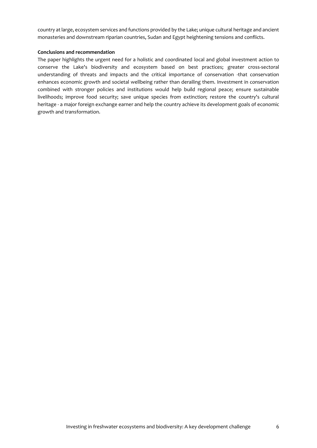country at large, ecosystem services and functions provided by the Lake; unique cultural heritage and ancient monasteries and downstream riparian countries, Sudan and Egypt heightening tensions and conflicts.

# **Conclusions and recommendation**

The paper highlights the urgent need for a holistic and coordinated local and global investment action to conserve the Lake's biodiversity and ecosystem based on best practices; greater cross-sectoral understanding of threats and impacts and the critical importance of conservation -that conservation enhances economic growth and societal wellbeing rather than derailing them. Investment in conservation combined with stronger policies and institutions would help build regional peace; ensure sustainable livelihoods; improve food security; save unique species from extinction; restore the country's cultural heritage - a major foreign exchange earner and help the country achieve its development goals of economic growth and transformation.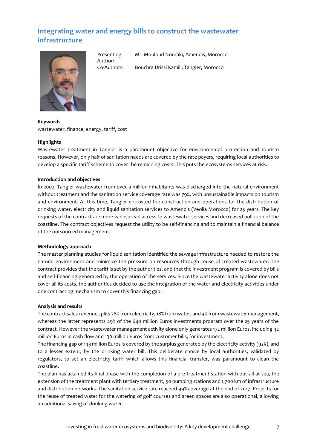# <span id="page-6-0"></span>**Integrating water and energy bills to construct the wastewater infrastructure**



Presenting Author:

Mr. Mouloud Nouraki, Amendis, Morocco

Co-Authors: Bouchra Drissi Kamili, Tangier, Morocco

**Keywords** wastewater, finance, energy, tariff, cost

# **Highlights**

Wastewater treatment in Tangier is a paramount objective for environmental protection and tourism reasons. However, only half of sanitation needs are covered by the rate payers, requiring local authorities to develop a specific tariff scheme to cover the remaining costs. This puts the ecosystems services at risk.

# **Introduction and objectives**

In 2002, Tangier wastewater from over a million inhabitants was discharged into the natural environment without treatment and the sanitation service coverage rate was 79%, with unsustainable impacts on tourism and environment. At this time, Tangier entrusted the construction and operations for the distribution of drinking water, electricity and liquid sanitation services to Amendis (Veolia Morocco) for 25 years. The key requests of the contract are more widespread access to wastewater services and decreased pollution of the coastline. The contract objectives request the utility to be self-financing and to maintain a financial balance of the outsourced management.

# **Methodology approach**

The master planning studies for liquid sanitation identified the sewage infrastructure needed to restore the natural environment and minimize the pressure on resources through reuse of treated wastewater. The contract provides that the tariff is set by the authorities, and that the investment program is covered by bills and self-financing generated by the operation of the services. Since the wastewater activity alone does not cover all its costs, the authorities decided to use the integration of the water and electricity activities under one contracting mechanism to cover this financing gap.

# **Analysis and results**

The contract sales-revenue splits 78% from electricity, 18% from water, and 4% from wastewater management, whereas the latter represents 49% of the 640 million Euros investments program over the 25 years of the contract. However the wastewater management activity alone only generates 172 million Euros, including 42 million Euros in cash flow and 130 million Euros from customer bills, for investment.

The financing gap of 143 million Euros is covered by the surplus generated by the electricity activity (92%), and to a lesser extent, by the drinking water bill. This deliberate choice by local authorities, validated by regulators, to set an electricity tariff which allows this financial transfer, was paramount to clean the coastline.

The plan has attained its final phase with the completion of a pre-treatment station with outfall at sea, the extension of the treatment plant with tertiary treatment, 50 pumping stations and 1,700 km of infrastructure and distribution networks. The sanitation service rate reached 99% coverage at the end of 2017. Projects for the reuse of treated water for the watering of golf courses and green spaces are also operational, allowing an additional saving of drinking water.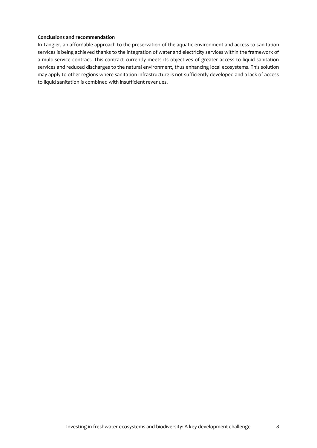#### **Conclusions and recommendation**

In Tangier, an affordable approach to the preservation of the aquatic environment and access to sanitation services is being achieved thanks to the integration of water and electricity services within the framework of a multi-service contract. This contract currently meets its objectives of greater access to liquid sanitation services and reduced discharges to the natural environment, thus enhancing local ecosystems. This solution may apply to other regions where sanitation infrastructure is not sufficiently developed and a lack of access to liquid sanitation is combined with insufficient revenues.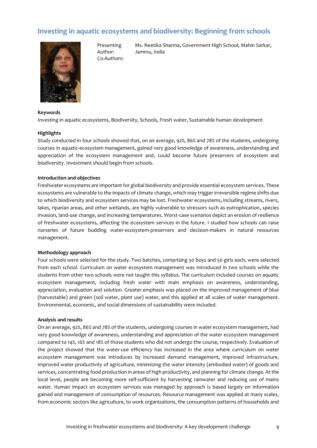# <span id="page-8-0"></span>**Investing in aquatic ecosystems and biodiversity: Beginning from schools**

Jammu, India

Ms. Neetika Sharma, Government High School, Mahin Sarkar,

Presenting Author:

Co-Authors:



# **Keywords**

Investing in aquatic ecosystems, Biodiversity, Schools, Fresh water, Sustainable human development

#### **Highlights**

Study conducted in four schools showed that, on an average, 92%, 86% and 78% of the students, undergoing courses in aquatic-ecosystem management, gained very good knowledge of awareness, understanding and appreciation of the ecosystem management and, could become future preservers of ecosystem and biodiversity. Investment should begin from schools.

# **Introduction and objectives**

Freshwater ecosystems are important for global biodiversity and provide essential ecosystem services. These ecosystems are vulnerable to the impacts of climate change, which may trigger irreversible regime shifts due to which biodiversity and ecosystem services may be lost. Freshwater ecosystems, including streams, rivers, lakes, riparian areas, and other wetlands, are highly vulnerable to stressors such as eutrophication, species invasion, land-use change, and increasing temperatures. Worst-case scenarios depict an erosion of resilience of freshwater ecosystems, affecting the ecosystem services in the future. I studied how schools can raise nurseries of future budding water-ecosystem-preservers and decision-makers in natural resources management.

#### **Methodology approach**

Four schools were selected for the study. Two batches, comprising 50 boys and 50 girls each, were selected from each school. Curriculum on water ecosystem management was introduced in two schools while the students from other two schools were not taught this syllabus. The curriculum included courses on aquatic ecosystem management, including fresh water with main emphasis on awareness, understanding, appreciation, evaluation and solution. Greater emphasis was placed on the improved management of blue (harvestable) and green (soil water, plant use) water, and this applied at all scales of water management. Environmental, economic, and social dimensions of sustainability were included.

#### **Analysis and results**

On an average, 92%, 86% and 78% of the students, undergoing courses in water ecosystem management, had very good knowledge of awareness, understanding and appreciation of the water ecosystem management compared to 14%, 16% and 18% of those students who did not undergo the course, respectively. Evaluation of the project showed that the water-use efficiency has increased in the area where curriculum on water ecosystem management was introduces by increased demand management, improved infrastructure, improved water productivity of agriculture, minimizing the water intensity (embodied water) of goods and services, concentrating food production in areas of high productivity, and planning for climate change. At the local level, people are becoming more self-sufficient by harvesting rainwater and reducing use of mains water. Human impact on ecosystem services was managed by approach is based largely on information gained and management of consumption of resources. Resource management was applied at many scales, from economic sectors like agriculture, to work organizations, the consumption patterns of households and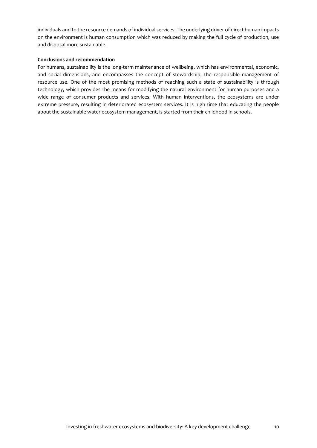individuals and to the resource demands of individual services. The underlying driver of direct human impacts on the environment is human consumption which was reduced by making the full cycle of production, use and disposal more sustainable.

# **Conclusions and recommendation**

For humans, sustainability is the long-term maintenance of wellbeing, which has environmental, economic, and social dimensions, and encompasses the concept of stewardship, the responsible management of resource use. One of the most promising methods of reaching such a state of sustainability is through technology, which provides the means for modifying the natural environment for human purposes and a wide range of consumer products and services. With human interventions, the ecosystems are under extreme pressure, resulting in deteriorated ecosystem services. It is high time that educating the people about the sustainable water ecosystem management, is started from their childhood in schools.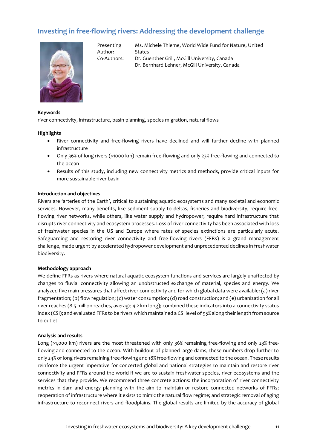# <span id="page-10-0"></span>**Investing in free-flowing rivers: Addressing the development challenge**



Presenting Author:

Ms. Michele Thieme, World Wide Fund for Nature, United States Co-Authors: Dr. Guenther Grill, McGill University, Canada

Dr. Bernhard Lehner, McGill University, Canada

#### **Keywords**

river connectivity, infrastructure, basin planning, species migration, natural flows

#### **Highlights**

- River connectivity and free-flowing rivers have declined and will further decline with planned infrastructure
- Only 36% of long rivers (>1000 km) remain free-flowing and only 23% free-flowing and connected to the ocean
- Results of this study, including new connectivity metrics and methods, provide critical inputs for more sustainable river basin

#### **Introduction and objectives**

Rivers are 'arteries of the Earth', critical to sustaining aquatic ecosystems and many societal and economic services. However, many benefits, like sediment supply to deltas, fisheries and biodiversity, require freeflowing river networks, while others, like water supply and hydropower, require hard infrastructure that disrupts river connectivity and ecosystem processes. Loss of river connectivity has been associated with loss of freshwater species in the US and Europe where rates of species extinctions are particularly acute. Safeguarding and restoring river connectivity and free-flowing rivers (FFRs) is a grand management challenge, made urgent by accelerated hydropower development and unprecedented declines in freshwater biodiversity.

#### **Methodology approach**

We define FFRs as rivers where natural aquatic ecosystem functions and services are largely unaffected by changes to fluvial connectivity allowing an unobstructed exchange of material, species and energy. We analyzed five main pressures that affect river connectivity and for which global data were available: (a) river fragmentation; (b) flow regulation; (c) water consumption; (d) road construction; and (e) urbanization for all river reaches (8.5 million reaches, average 4.2 km long); combined these indicators into a connectivity status index (CSI); and evaluated FFRs to be rivers which maintained a CSI level of 95% along their length from source to outlet.

#### **Analysis and results**

Long (>1,000 km) rivers are the most threatened with only 36% remaining free-flowing and only 23% freeflowing and connected to the ocean. With buildout of planned large dams, these numbers drop further to only 24% of long rivers remaining free-flowing and 18% free-flowing and connected to the ocean. These results reinforce the urgent imperative for concerted global and national strategies to maintain and restore river connectivity and FFRs around the world if we are to sustain freshwater species, river ecosystems and the services that they provide. We recommend three concrete actions: the incorporation of river connectivity metrics in dam and energy planning with the aim to maintain or restore connected networks of FFRs; reoperation of infrastructure where it exists to mimic the natural flow regime; and strategic removal of aging infrastructure to reconnect rivers and floodplains. The global results are limited by the accuracy of global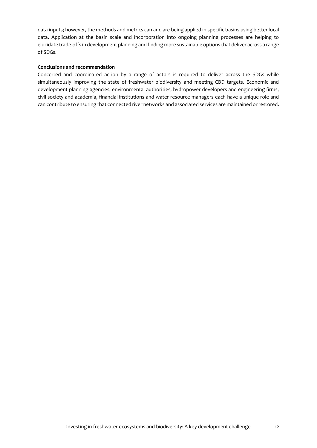data inputs; however, the methods and metrics can and are being applied in specific basins using better local data. Application at the basin scale and incorporation into ongoing planning processes are helping to elucidate trade-offs in development planning and finding more sustainable options that deliver across a range of SDGs.

# **Conclusions and recommendation**

Concerted and coordinated action by a range of actors is required to deliver across the SDGs while simultaneously improving the state of freshwater biodiversity and meeting CBD targets. Economic and development planning agencies, environmental authorities, hydropower developers and engineering firms, civil society and academia, financial institutions and water resource managers each have a unique role and can contribute to ensuring that connected river networks and associated services are maintained or restored.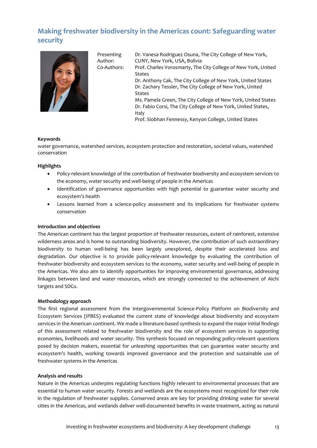# <span id="page-12-0"></span>**Making freshwater biodiversity in the Americas count: Safeguarding water security**



Presenting Author:

Dr. Vanesa Rodriguez Osuna, The City College of New York, CUNY, New York, USA, Bolivia Co-Authors: Prof. Charles Vorosmarty, The City College of New York, United States Dr. Anthony Cak, The City College of New York, United States Dr. Zachary Tessler, The City College of New York, United States Ms. Pamela Green, The City College of New York, United States Dr. Fabio Corsi, The City College of New York, United States, Italy Prof. Siobhan Fennessy, Kenyon College, United States

# **Keywords**

water governance, watershed services, ecosystem protection and restoration, societal values, watershed conservation

# **Highlights**

- Policy-relevant knowledge of the contribution of freshwater biodiversity and ecosystem services to the economy, water security and well-being of people in the Americas
- Identification of governance opportunities with high potential to guarantee water security and ecosystem's health
- Lessons learned from a science-policy assessment and its implications for freshwater systems conservation

### **Introduction and objectives**

The American continent has the largest proportion of freshwater resources, extent of rainforest, extensive wilderness areas and is home to outstanding biodiversity. However, the contribution of such extraordinary biodiversity to human well-being has been largely unexplored, despite their accelerated loss and degradation. Our objective is to provide policy-relevant knowledge by evaluating the contribution of freshwater biodiversity and ecosystem services to the economy, water security and well-being of people in the Americas. We also aim to identify opportunities for improving environmental governance, addressing linkages between land and water resources, which are strongly connected to the achievement of Aichi targets and SDGs.

#### **Methodology approach**

The first regional assessment from the Intergovernmental Science-Policy Platform on Biodiversity and Ecosystem Services (IPBES) evaluated the current state of knowledge about biodiversity and ecosystem services in the American continent. We made a literature-based synthesis to expand the major initial findings of this assessment related to freshwater biodiversity and the role of ecosystem services in supporting economies, livelihoods and water security. This synthesis focused on responding policy-relevant questions posed by decision makers, essential for unleashing opportunities that can guarantee water security and ecosystem's health, working towards improved governance and the protection and sustainable use of freshwater systems in the Americas

#### **Analysis and results**

Nature in the Americas underpins regulating functions highly relevant to environmental processes that are essential to human water security. Forests and wetlands are the ecosystems most recognized for their role in the regulation of freshwater supplies. Conserved areas are key for providing drinking water for several cities in the Americas, and wetlands deliver well-documented benefits in waste treatment, acting as natural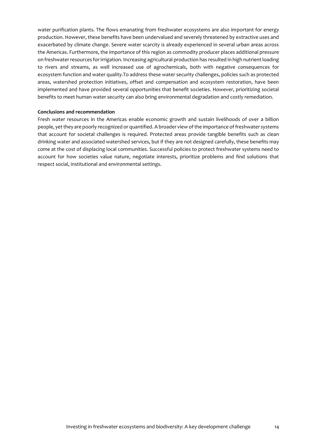water purification plants. The flows emanating from freshwater ecosystems are also important for energy production. However, these benefits have been undervalued and severely threatened by extractive uses and exacerbated by climate change. Severe water scarcity is already experienced in several urban areas across the Americas. Furthermore, the importance of this region as commodity producer places additional pressure on freshwater resources for irrigation. Increasing agricultural production has resulted in high nutrient loading to rivers and streams, as well increased use of agrochemicals, both with negative consequences for ecosystem function and water quality.To address these water security challenges, policies such as protected areas, watershed protection initiatives, offset and compensation and ecosystem restoration, have been implemented and have provided several opportunities that benefit societies. However, prioritizing societal benefits to meet human water security can also bring environmental degradation and costly remediation.

#### **Conclusions and recommendation**

Fresh water resources in the Americas enable economic growth and sustain livelihoods of over a billion people, yet they are poorly recognized or quantified. A broader view of the importance of freshwater systems that account for societal challenges is required. Protected areas provide tangible benefits such as clean drinking water and associated watershed services, but if they are not designed carefully, these benefits may come at the cost of displacing local communities. Successful policies to protect freshwater systems need to account for how societies value nature, negotiate interests, prioritize problems and find solutions that respect social, institutional and environmental settings.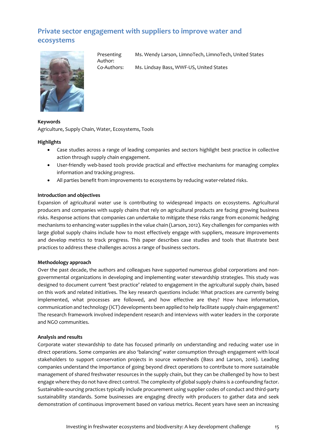# <span id="page-14-0"></span>**Private sector engagement with suppliers to improve water and ecosystems**



Presenting Author:

Ms. Wendy Larson, LimnoTech, LimnoTech, United States

Co-Authors: Ms. Lindsay Bass, WWF-US, United States

# **Keywords**

Agriculture, Supply Chain, Water, Ecosystems, Tools

# **Highlights**

- Case studies across a range of leading companies and sectors highlight best practice in collective action through supply chain engagement.
- User-friendly web-based tools provide practical and effective mechanisms for managing complex information and tracking progress.
- All parties benefit from improvements to ecosystems by reducing water-related risks.

# **Introduction and objectives**

Expansion of agricultural water use is contributing to widespread impacts on ecosystems. Agricultural producers and companies with supply chains that rely on agricultural products are facing growing business risks. Response actions that companies can undertake to mitigate these risks range from economic hedging mechanisms to enhancing water supplies in the value chain (Larson, 2012). Key challenges for companies with large global supply chains include how to most effectively engage with suppliers, measure improvements and develop metrics to track progress. This paper describes case studies and tools that illustrate best practices to address these challenges across a range of business sectors.

# **Methodology approach**

Over the past decade, the authors and colleagues have supported numerous global corporations and nongovernmental organizations in developing and implementing water stewardship strategies. This study was designed to document current 'best practice' related to engagement in the agricultural supply chain, based on this work and related initiatives. The key research questions include: What practices are currently being implemented, what processes are followed, and how effective are they? How have information, communication and technology (ICT) developments been applied to help facilitate supply chain engagement? The research framework involved independent research and interviews with water leaders in the corporate and NGO communities.

# **Analysis and results**

Corporate water stewardship to date has focused primarily on understanding and reducing water use in direct operations. Some companies are also 'balancing' water consumption through engagement with local stakeholders to support conservation projects in source watersheds (Bass and Larson, 2016). Leading companies understand the importance of going beyond direct operations to contribute to more sustainable management of shared freshwater resources in the supply chain, but they can be challenged by how to best engage where they do not have direct control. The complexity of global supply chains is a confounding factor. Sustainable-sourcing practices typically include procurement using supplier codes of conduct and third-party sustainability standards. Some businesses are engaging directly with producers to gather data and seek demonstration of continuous improvement based on various metrics. Recent years have seen an increasing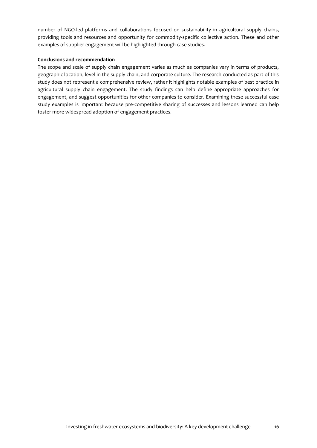number of NGO-led platforms and collaborations focused on sustainability in agricultural supply chains, providing tools and resources and opportunity for commodity-specific collective action. These and other examples of supplier engagement will be highlighted through case studies.

# **Conclusions and recommendation**

The scope and scale of supply chain engagement varies as much as companies vary in terms of products, geographic location, level in the supply chain, and corporate culture. The research conducted as part of this study does not represent a comprehensive review, rather it highlights notable examples of best practice in agricultural supply chain engagement. The study findings can help define appropriate approaches for engagement, and suggest opportunities for other companies to consider. Examining these successful case study examples is important because pre-competitive sharing of successes and lessons learned can help foster more widespread adoption of engagement practices.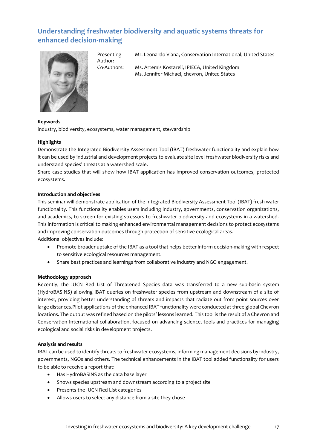# <span id="page-16-0"></span>**Understanding freshwater biodiversity and aquatic systems threats for enhanced decision-making**



Presenting Author:

Mr. Leonardo Viana, Conservation International, United States

Co-Authors: Ms. Artemis Kostareli, IPIECA, United Kingdom Ms. Jennifer Michael, chevron, United States

# **Keywords**

industry, biodiversity, ecosystems, water management, stewardship

# **Highlights**

Demonstrate the Integrated Biodiversity Assessment Tool (IBAT) freshwater functionality and explain how it can be used by industrial and development projects to evaluate site level freshwater biodiversity risks and understand species' threats at a watershed scale.

Share case studies that will show how IBAT application has improved conservation outcomes, protected ecosystems.

# **Introduction and objectives**

This seminar will demonstrate application of the Integrated Biodiversity Assessment Tool (IBAT) fresh water functionality. This functionality enables users including industry, governments, conservation organizations, and academics, to screen for existing stressors to freshwater biodiversity and ecosystems in a watershed. This information is critical to making enhanced environmental management decisions to protect ecosystems and improving conservation outcomes through protection of sensitive ecological areas. Additional objectives include:

- Promote broader uptake of the IBAT as a tool that helps better inform decision-making with respect to sensitive ecological resources management.
- Share best practices and learnings from collaborative industry and NGO engagement.

# **Methodology approach**

Recently, the IUCN Red List of Threatened Species data was transferred to a new sub-basin system (HydroBASINS) allowing IBAT queries on freshwater species from upstream and downstream of a site of interest, providing better understanding of threats and impacts that radiate out from point sources over large distances.Pilot applications of the enhanced IBAT functionality were conducted at three global Chevron locations. The output was refined based on the pilots' lessons learned. This tool is the result of a Chevron and Conservation International collaboration, focused on advancing science, tools and practices for managing ecological and social risks in development projects.

# **Analysis and results**

IBAT can be used to identify threats to freshwater ecosystems, informing management decisions by industry, governments, NGOs and others. The technical enhancements in the IBAT tool added functionality for users to be able to receive a report that:

- Has HydroBASINS as the data base layer
- Shows species upstream and downstream according to a project site
- Presents the IUCN Red List categories
- Allows users to select any distance from a site they chose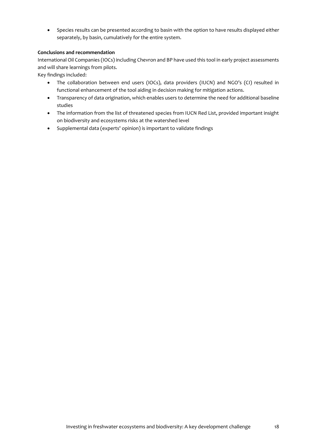• Species results can be presented according to basin with the option to have results displayed either separately, by basin, cumulatively for the entire system.

# **Conclusions and recommendation**

International Oil Companies (IOCs) including Chevron and BP have used this tool in early project assessments and will share learnings from pilots.

Key findings included:

- The collaboration between end users (IOCs), data providers (IUCN) and NGO's (CI) resulted in functional enhancement of the tool aiding in decision making for mitigation actions.
- Transparency of data origination, which enables users to determine the need for additional baseline studies
- The information from the list of threatened species from IUCN Red List, provided important insight on biodiversity and ecosystems risks at the watershed level
- Supplemental data (experts' opinion) is important to validate findings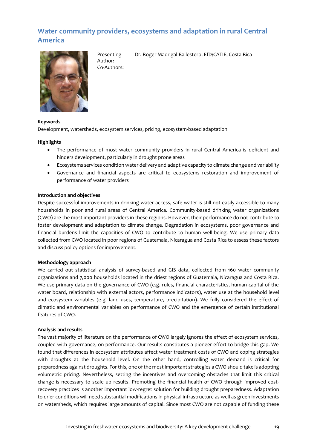# <span id="page-18-0"></span>**Water community providers, ecosystems and adaptation in rural Central America**



Presenting Author: Co-Authors:

Dr. Roger Madrigal-Ballestero, EfD/CATIE, Costa Rica

# **Keywords**

Development, watersheds, ecosystem services, pricing, ecosystem-based adaptation

# **Highlights**

- The performance of most water community providers in rural Central America is deficient and hinders development, particularly in drought prone areas
- Ecosystems services condition water delivery and adaptive capacity to climate change and variability
- Governance and financial aspects are critical to ecosystems restoration and improvement of performance of water providers

# **Introduction and objectives**

Despite successful improvements in drinking water access, safe water is still not easily accessible to many households in poor and rural areas of Central America. Community-based drinking water organizations (CWO) are the most important providers in these regions. However, their performance do not contribute to foster development and adaptation to climate change. Degradation in ecosystems, poor governance and financial burdens limit the capacities of CWO to contribute to human well-being. We use primary data collected from CWO located in poor regions of Guatemala, Nicaragua and Costa Rica to assess these factors and discuss policy options for improvement.

# **Methodology approach**

We carried out statistical analysis of survey-based and GIS data, collected from 160 water community organizations and 7,000 households located in the driest regions of Guatemala, Nicaragua and Costa Rica. We use primary data on the governance of CWO (e.g. rules, financial characteristics, human capital of the water board, relationship with external actors, performance indicators), water use at the household level and ecosystem variables (e.g. land uses, temperature, precipitation). We fully considered the effect of climatic and environmental variables on performance of CWO and the emergence of certain institutional features of CWO.

# **Analysis and results**

The vast majority of literature on the performance of CWO largely ignores the effect of ecosystem services, coupled with governance, on performance. Our results constitutes a pioneer effort to bridge this gap. We found that differences in ecosystem attributes affect water treatment costs of CWO and coping strategies with droughts at the household level. On the other hand, controlling water demand is critical for preparedness against droughts. For this, one of the most important strategies a CWO should take is adopting volumetric pricing. Nevertheless, setting the incentives and overcoming obstacles that limit this critical change is necessary to scale up results. Promoting the financial health of CWO through improved costrecovery practices is another important low-regret solution for building drought preparedness. Adaptation to drier conditions will need substantial modifications in physical infrastructure as well as green investments on watersheds, which requires large amounts of capital. Since most CWO are not capable of funding these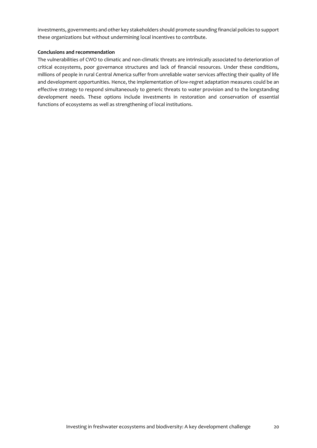investments, governments and other key stakeholders should promote sounding financial policies to support these organizations but without undermining local incentives to contribute.

# **Conclusions and recommendation**

The vulnerabilities of CWO to climatic and non-climatic threats are intrinsically associated to deterioration of critical ecosystems, poor governance structures and lack of financial resources. Under these conditions, millions of people in rural Central America suffer from unreliable water services affecting their quality of life and development opportunities. Hence, the implementation of low-regret adaptation measures could be an effective strategy to respond simultaneously to generic threats to water provision and to the longstanding development needs. These options include investments in restoration and conservation of essential functions of ecosystems as well as strengthening of local institutions.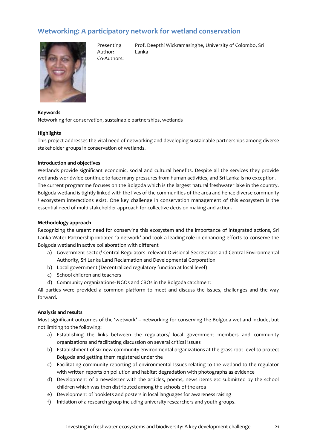# <span id="page-20-0"></span>**Wetworking: A participatory network for wetland conservation**



Presenting Author: Co-Authors:

Prof. Deepthi Wickramasinghe, University of Colombo, Sri Lanka

#### **Keywords**

Networking for conservation, sustainable partnerships, wetlands

#### **Highlights**

This project addresses the vital need of networking and developing sustainable partnerships among diverse stakeholder groups in conservation of wetlands.

### **Introduction and objectives**

Wetlands provide significant economic, social and cultural benefits. Despite all the services they provide wetlands worldwide continue to face many pressures from human activities, and Sri Lanka is no exception. The current programme focuses on the Bolgoda which is the largest natural freshwater lake in the country. Bolgoda wetland is tightly linked with the lives of the communities of the area and hence diverse community / ecosystem interactions exist. One key challenge in conservation management of this ecosystem is the essential need of multi stakeholder approach for collective decision making and action.

#### **Methodology approach**

Recognizing the urgent need for conserving this ecosystem and the importance of integrated actions, Sri Lanka Water Partnership initiated 'a network' and took a leading role in enhancing efforts to conserve the Bolgoda wetland in active collaboration with different

- a) Government sector/ Central Regulators- relevant Divisional Secretariats and Central Environmental Authority, Sri Lanka Land Reclamation and Developmental Corporation
- b) Local government (Decentralized regulatory function at local level)
- c) School children and teachers
- d) Community organizations- NGOs and CBOs in the Bolgoda catchment

All parties were provided a common platform to meet and discuss the issues, challenges and the way forward.

# **Analysis and results**

Most significant outcomes of the 'wetwork' – networking for conserving the Bolgoda wetland include, but not limiting to the following:

- a) Establishing the links between the regulators/ local government members and community organizations and facilitating discussion on several critical issues
- b) Establishment of six new community environmental organizations at the grass root level to protect Bolgoda and getting them registered under the
- c) Facilitating community reporting of environmental Issues relating to the wetland to the regulator with written reports on pollution and habitat degradation with photographs as evidence
- d) Development of a newsletter with the articles, poems, news items etc submitted by the school children which was then distributed among the schools of the area
- e) Development of booklets and posters in local languages for awareness raising
- f) Initiation of a research group including university researchers and youth groups.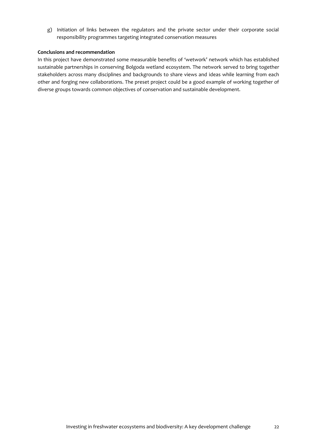g) Initiation of links between the regulators and the private sector under their corporate social responsibility programmes targeting integrated conservation measures

# **Conclusions and recommendation**

In this project have demonstrated some measurable benefits of 'wetwork' network which has established sustainable partnerships in conserving Bolgoda wetland ecosystem. The network served to bring together stakeholders across many disciplines and backgrounds to share views and ideas while learning from each other and forging new collaborations. The preset project could be a good example of working together of diverse groups towards common objectives of conservation and sustainable development.